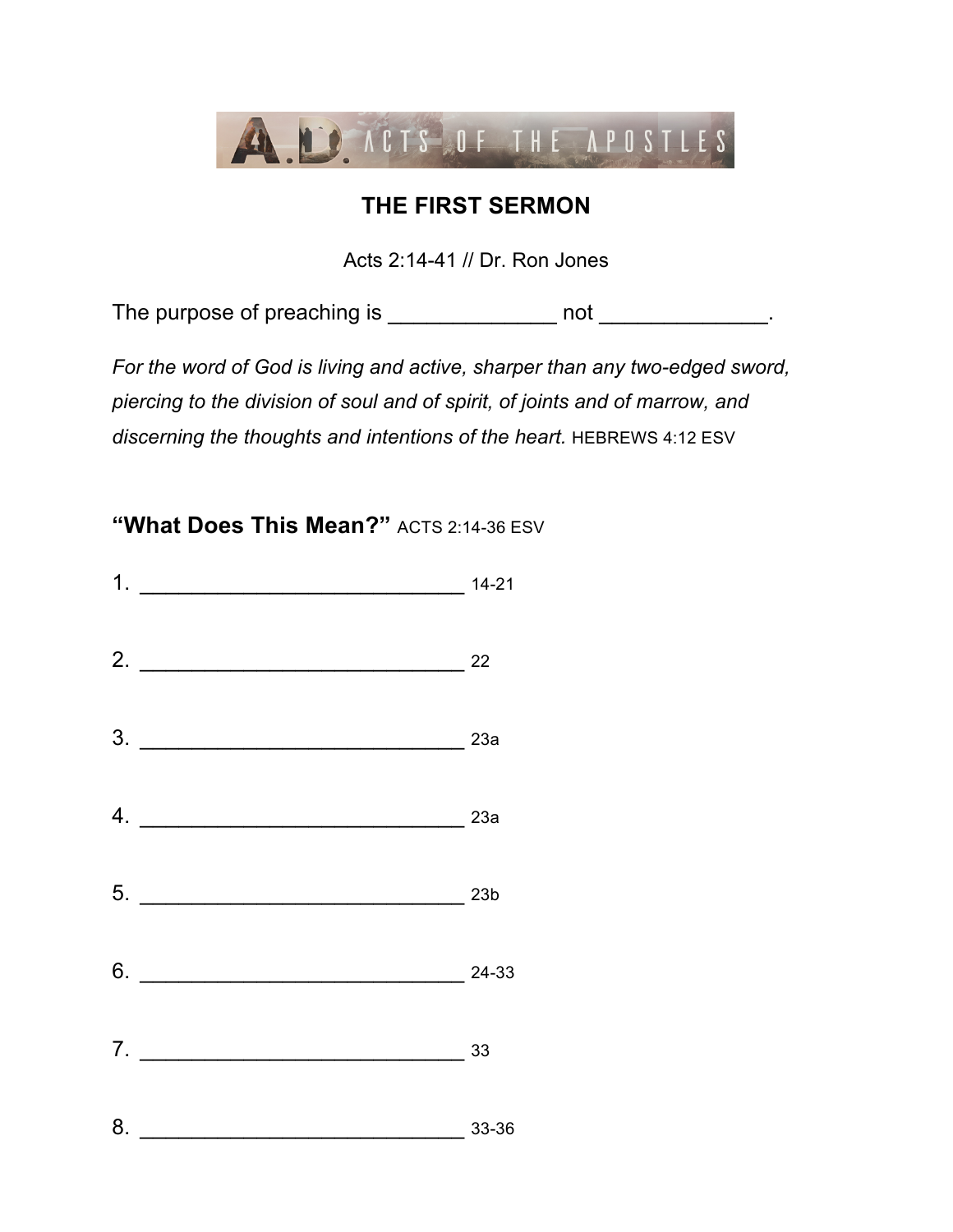

## **THE FIRST SERMON**

Acts 2:14-41 // Dr. Ron Jones

The purpose of preaching is \_\_\_\_\_\_\_\_\_\_\_\_\_\_\_\_ not \_\_\_\_\_\_\_\_\_\_\_\_\_\_.

*For the word of God is living and active, sharper than any two-edged sword, piercing to the division of soul and of spirit, of joints and of marrow, and*  discerning the thoughts and intentions of the heart. **HEBREWS 4:12 ESV** 

**"What Does This Mean?"** ACTS 2:14-36 ESV